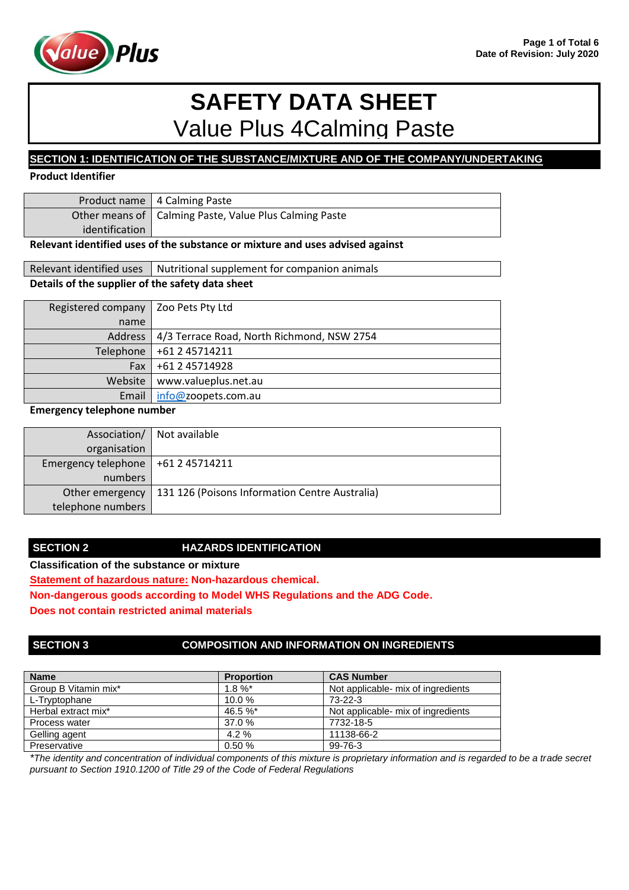

## **SECTION 1: IDENTIFICATION OF THE SUBSTANCE/MIXTURE AND OF THE COMPANY/UNDERTAKING**

## **Product Identifier**

|                | Product name   4 Calming Paste                           |
|----------------|----------------------------------------------------------|
|                | Other means of   Calming Paste, Value Plus Calming Paste |
| identification |                                                          |
|                |                                                          |

## **Relevant identified uses of the substance or mixture and uses advised against**

|                                                  | Relevant identified uses   Nutritional supplement for companion animals |
|--------------------------------------------------|-------------------------------------------------------------------------|
| Details of the supplier of the safety data sheet |                                                                         |

| Registered company | Zoo Pets Pty Ltd                           |
|--------------------|--------------------------------------------|
| name               |                                            |
| Address            | 4/3 Terrace Road, North Richmond, NSW 2754 |
| Telephone          | +61 2 45714211                             |
| Fax                | +61 2 45714928                             |
| Website            | www.valueplus.net.au                       |
| Email              | info@zoopets.com.au                        |

## **Emergency telephone number**

| Association/                           | Not available                                  |
|----------------------------------------|------------------------------------------------|
| organisation                           |                                                |
| Emergency telephone   $+61$ 2 45714211 |                                                |
| numbers                                |                                                |
| Other emergency                        | 131 126 (Poisons Information Centre Australia) |
| telephone numbers                      |                                                |

## **SECTION 2 HAZARDS IDENTIFICATION**

**Classification of the substance or mixture**

**Statement of hazardous nature: Non-hazardous chemical.** 

**Non-dangerous goods according to Model WHS Regulations and the ADG Code.**

**Does not contain restricted animal materials**

## **SECTION 3 COMPOSITION AND INFORMATION ON INGREDIENTS**

| <b>Name</b>          | <b>Proportion</b> | <b>CAS Number</b>                   |
|----------------------|-------------------|-------------------------------------|
| Group B Vitamin mix* | $1.8 \%$          | Not applicable - mix of ingredients |
| L-Tryptophane        | 10.0%             | $73-22-3$                           |
| Herbal extract mix*  | 46.5 $\%$ *       | Not applicable- mix of ingredients  |
| Process water        | 37.0 %            | 7732-18-5                           |
| Gelling agent        | 4.2%              | 11138-66-2                          |
| Preservative         | 0.50%             | 99-76-3                             |

*\*The identity and concentration of individual components of this mixture is proprietary information and is regarded to be a trade secret pursuant to Section 1910.1200 of Title 29 of the Code of Federal Regulations*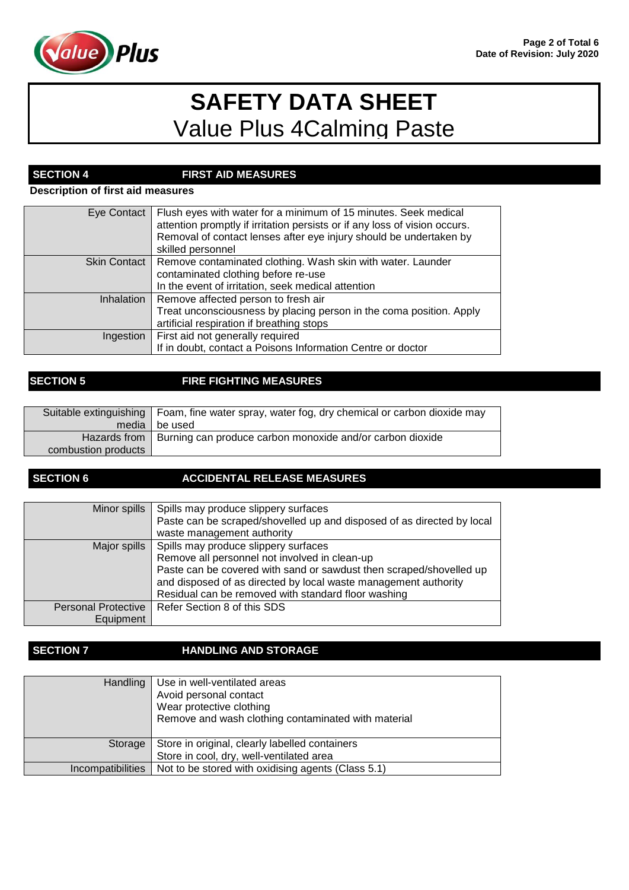

# **SECTION 4 FIRST AID MEASURES**

## **Description of first aid measures**

| Eye Contact           | Flush eyes with water for a minimum of 15 minutes. Seek medical<br>attention promptly if irritation persists or if any loss of vision occurs.<br>Removal of contact lenses after eye injury should be undertaken by<br>skilled personnel |
|-----------------------|------------------------------------------------------------------------------------------------------------------------------------------------------------------------------------------------------------------------------------------|
| <b>Skin Contact</b> I | Remove contaminated clothing. Wash skin with water. Launder<br>contaminated clothing before re-use                                                                                                                                       |
|                       | In the event of irritation, seek medical attention                                                                                                                                                                                       |
| Inhalation            | Remove affected person to fresh air                                                                                                                                                                                                      |
|                       | Treat unconsciousness by placing person in the coma position. Apply<br>artificial respiration if breathing stops                                                                                                                         |
| Ingestion             | First aid not generally required<br>If in doubt, contact a Poisons Information Centre or doctor                                                                                                                                          |

## **SECTION 5 FIRE FIGHTING MEASURES**

|                     | Suitable extinguishing   Foam, fine water spray, water fog, dry chemical or carbon dioxide may |
|---------------------|------------------------------------------------------------------------------------------------|
|                     |                                                                                                |
|                     | media be used                                                                                  |
|                     |                                                                                                |
|                     | Hazards from   Burning can produce carbon monoxide and/or carbon dioxide                       |
|                     |                                                                                                |
| combustion products |                                                                                                |
|                     |                                                                                                |

## **SECTION 6 ACCIDENTAL RELEASE MEASURES**

| Minor spills               | Spills may produce slippery surfaces                                   |
|----------------------------|------------------------------------------------------------------------|
|                            | Paste can be scraped/shovelled up and disposed of as directed by local |
|                            | waste management authority                                             |
| Major spills               | Spills may produce slippery surfaces                                   |
|                            | Remove all personnel not involved in clean-up                          |
|                            | Paste can be covered with sand or sawdust then scraped/shovelled up    |
|                            | and disposed of as directed by local waste management authority        |
|                            | Residual can be removed with standard floor washing                    |
| <b>Personal Protective</b> | Refer Section 8 of this SDS                                            |
| Equipment                  |                                                                        |
|                            |                                                                        |

## **SECTION 7 HANDLING AND STORAGE**

| <b>Handling</b>   | Use in well-ventilated areas<br>Avoid personal contact<br>Wear protective clothing<br>Remove and wash clothing contaminated with material |
|-------------------|-------------------------------------------------------------------------------------------------------------------------------------------|
| Storage           | Store in original, clearly labelled containers<br>Store in cool, dry, well-ventilated area                                                |
| Incompatibilities | Not to be stored with oxidising agents (Class 5.1)                                                                                        |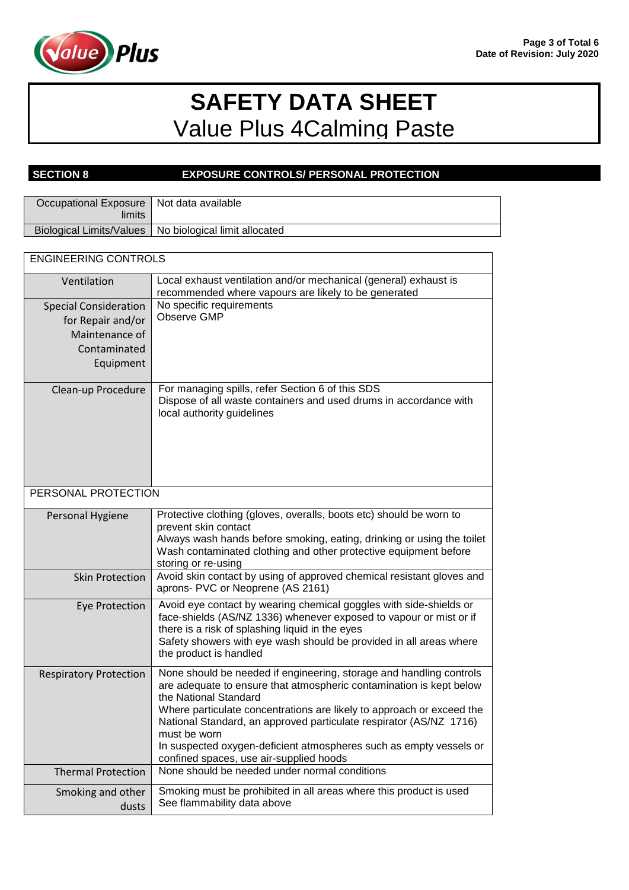

## **SECTION 8 EXPOSURE CONTROLS/ PERSONAL PROTECTION**

| Occupational Exposure   Not data available<br>limits |                                                          |
|------------------------------------------------------|----------------------------------------------------------|
|                                                      | Biological Limits/Values   No biological limit allocated |

| <b>ENGINEERING CONTROLS</b>                                                                      |                                                                                                                                                                                                                                                                                                                                                                                                                                                     |  |
|--------------------------------------------------------------------------------------------------|-----------------------------------------------------------------------------------------------------------------------------------------------------------------------------------------------------------------------------------------------------------------------------------------------------------------------------------------------------------------------------------------------------------------------------------------------------|--|
| Ventilation                                                                                      | Local exhaust ventilation and/or mechanical (general) exhaust is<br>recommended where vapours are likely to be generated                                                                                                                                                                                                                                                                                                                            |  |
| <b>Special Consideration</b><br>for Repair and/or<br>Maintenance of<br>Contaminated<br>Equipment | No specific requirements<br>Observe GMP                                                                                                                                                                                                                                                                                                                                                                                                             |  |
| Clean-up Procedure                                                                               | For managing spills, refer Section 6 of this SDS<br>Dispose of all waste containers and used drums in accordance with<br>local authority guidelines                                                                                                                                                                                                                                                                                                 |  |
| PERSONAL PROTECTION                                                                              |                                                                                                                                                                                                                                                                                                                                                                                                                                                     |  |
| Personal Hygiene                                                                                 | Protective clothing (gloves, overalls, boots etc) should be worn to<br>prevent skin contact<br>Always wash hands before smoking, eating, drinking or using the toilet<br>Wash contaminated clothing and other protective equipment before<br>storing or re-using                                                                                                                                                                                    |  |
| <b>Skin Protection</b>                                                                           | Avoid skin contact by using of approved chemical resistant gloves and<br>aprons- PVC or Neoprene (AS 2161)                                                                                                                                                                                                                                                                                                                                          |  |
| <b>Eye Protection</b>                                                                            | Avoid eye contact by wearing chemical goggles with side-shields or<br>face-shields (AS/NZ 1336) whenever exposed to vapour or mist or if<br>there is a risk of splashing liquid in the eyes<br>Safety showers with eye wash should be provided in all areas where<br>the product is handled                                                                                                                                                         |  |
| <b>Respiratory Protection</b>                                                                    | None should be needed if engineering, storage and handling controls<br>are adequate to ensure that atmospheric contamination is kept below<br>the National Standard<br>Where particulate concentrations are likely to approach or exceed the<br>National Standard, an approved particulate respirator (AS/NZ 1716)<br>must be worn<br>In suspected oxygen-deficient atmospheres such as empty vessels or<br>confined spaces, use air-supplied hoods |  |
| <b>Thermal Protection</b>                                                                        | None should be needed under normal conditions                                                                                                                                                                                                                                                                                                                                                                                                       |  |
| Smoking and other<br>dusts                                                                       | Smoking must be prohibited in all areas where this product is used<br>See flammability data above                                                                                                                                                                                                                                                                                                                                                   |  |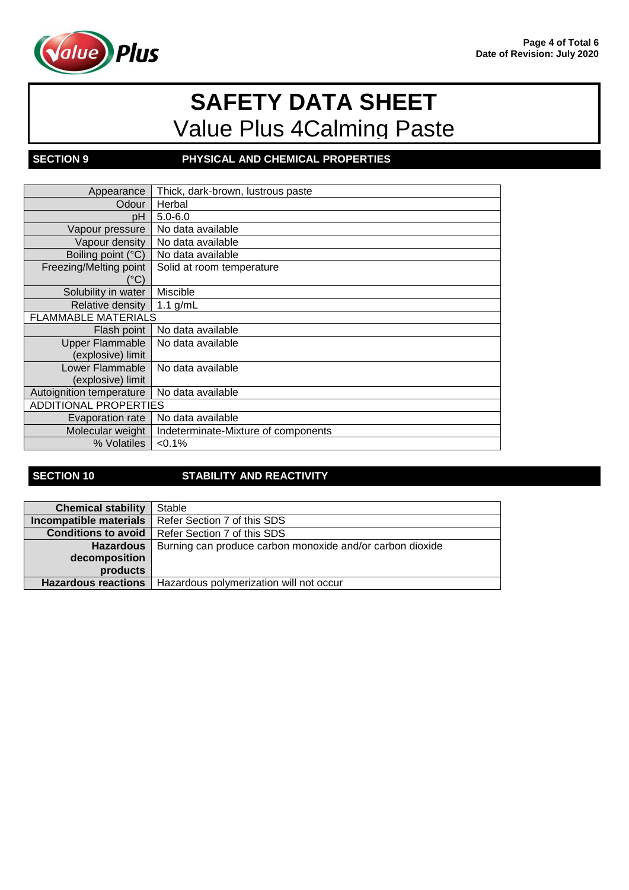

## **SECTION 9 PHYSICAL AND CHEMICAL PROPERTIES**

| Appearance                   | Thick, dark-brown, lustrous paste   |
|------------------------------|-------------------------------------|
| Odour                        | Herbal                              |
| рH                           | $5.0 - 6.0$                         |
| Vapour pressure              | No data available                   |
| Vapour density               | No data available                   |
| Boiling point (°C)           | No data available                   |
| Freezing/Melting point       | Solid at room temperature           |
| (°C)                         |                                     |
| Solubility in water          | Miscible                            |
| Relative density             | 1.1 $g/mL$                          |
| <b>FLAMMABLE MATERIALS</b>   |                                     |
| Flash point                  | No data available                   |
| Upper Flammable              | No data available                   |
| (explosive) limit            |                                     |
| Lower Flammable              | No data available                   |
| (explosive) limit            |                                     |
| Autoignition temperature     | No data available                   |
| <b>ADDITIONAL PROPERTIES</b> |                                     |
| Evaporation rate             | No data available                   |
| Molecular weight             | Indeterminate-Mixture of components |
| % Volatiles                  | $< 0.1\%$                           |

## **SECTION 10 STABILITY AND REACTIVITY**

| <b>Chemical stability</b>  | Stable                                                    |
|----------------------------|-----------------------------------------------------------|
| Incompatible materials     | Refer Section 7 of this SDS                               |
| <b>Conditions to avoid</b> | Refer Section 7 of this SDS                               |
| <b>Hazardous</b>           | Burning can produce carbon monoxide and/or carbon dioxide |
| decomposition              |                                                           |
| products                   |                                                           |
| <b>Hazardous reactions</b> | Hazardous polymerization will not occur                   |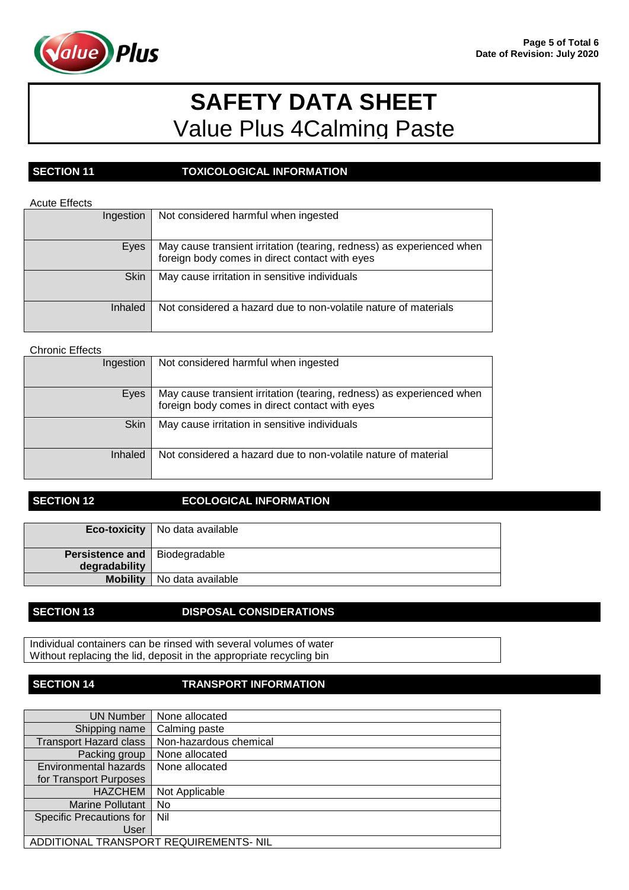

## **SECTION 11 TOXICOLOGICAL INFORMATION**

### Acute Effects

| Ingestion   | Not considered harmful when ingested                                                                                    |
|-------------|-------------------------------------------------------------------------------------------------------------------------|
| Eyes        | May cause transient irritation (tearing, redness) as experienced when<br>foreign body comes in direct contact with eyes |
| <b>Skin</b> | May cause irritation in sensitive individuals                                                                           |
| Inhaled     | Not considered a hazard due to non-volatile nature of materials                                                         |

### Chronic Effects

| Ingestion   | Not considered harmful when ingested                                                                                    |
|-------------|-------------------------------------------------------------------------------------------------------------------------|
| Eyes        | May cause transient irritation (tearing, redness) as experienced when<br>foreign body comes in direct contact with eyes |
| <b>Skin</b> | May cause irritation in sensitive individuals                                                                           |
| Inhaled     | Not considered a hazard due to non-volatile nature of material                                                          |

### **SECTION 12 ECOLOGICAL INFORMATION**

|                                        | <b>Eco-toxicity</b>   No data available |
|----------------------------------------|-----------------------------------------|
| <b>Persistence and   Biodegradable</b> |                                         |
| degradability                          |                                         |
|                                        | Mobility   No data available            |

## **SECTION 13 DISPOSAL CONSIDERATIONS**

Individual containers can be rinsed with several volumes of water Without replacing the lid, deposit in the appropriate recycling bin

## **SECTION 14 TRANSPORT INFORMATION**

| UN Number                              | None allocated         |
|----------------------------------------|------------------------|
| Shipping name                          | Calming paste          |
| <b>Transport Hazard class</b>          | Non-hazardous chemical |
| Packing group                          | None allocated         |
| Environmental hazards                  | None allocated         |
| for Transport Purposes                 |                        |
| <b>HAZCHEM</b>                         | Not Applicable         |
| Marine Pollutant                       | No.                    |
| <b>Specific Precautions for</b>        | Nil                    |
| User                                   |                        |
| ADDITIONAL TRANSPORT REQUIREMENTS- NIL |                        |